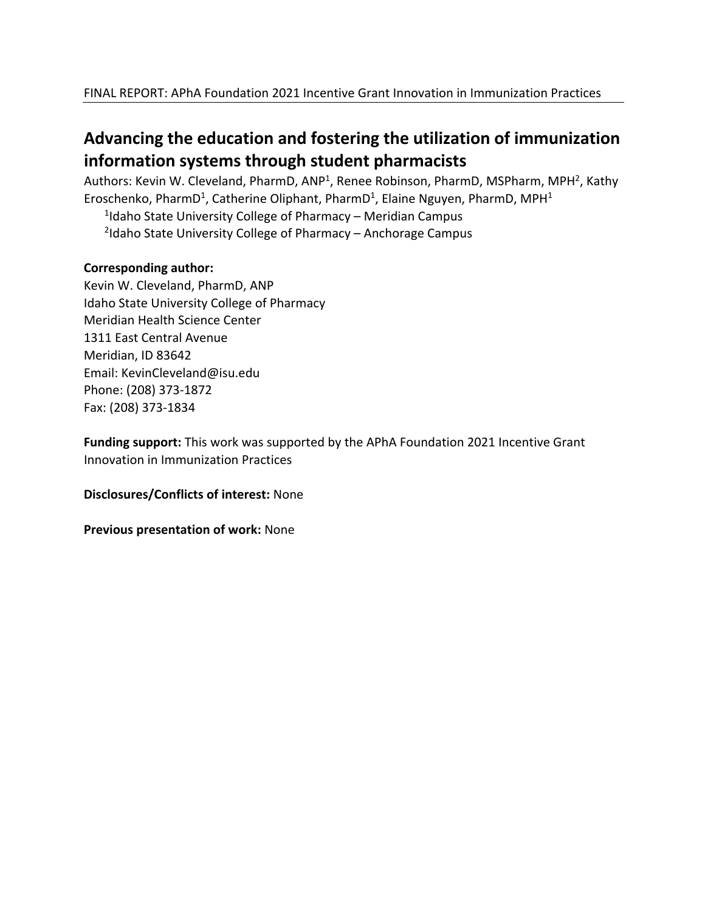# **Advancing the education and fostering the utilization of immunization information systems through student pharmacists**

Authors: Kevin W. Cleveland, PharmD, ANP<sup>1</sup>, Renee Robinson, PharmD, MSPharm, MPH<sup>2</sup>, Kathy Eroschenko, PharmD<sup>1</sup>, Catherine Oliphant, PharmD<sup>1</sup>, Elaine Nguyen, PharmD, MPH<sup>1</sup>

<sup>1</sup>Idaho State University College of Pharmacy – Meridian Campus 2 Idaho State University College of Pharmacy – Anchorage Campus

## **Corresponding author:**

Kevin W. Cleveland, PharmD, ANP Idaho State University College of Pharmacy Meridian Health Science Center 1311 East Central Avenue Meridian, ID 83642 Email: KevinCleveland@isu.edu Phone: (208) 373-1872 Fax: (208) 373-1834

**Funding support:** This work was supported by the APhA Foundation 2021 Incentive Grant Innovation in Immunization Practices

**Disclosures/Conflicts of interest:** None

**Previous presentation of work:** None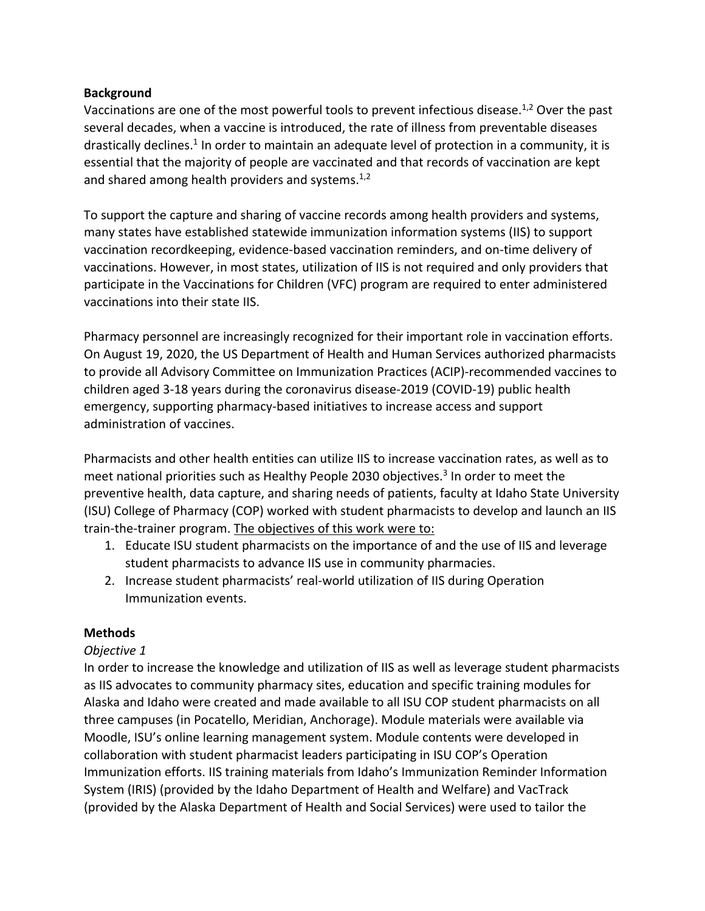# **Background**

Vaccinations are one of the most powerful tools to prevent infectious disease.<sup>1,2</sup> Over the past several decades, when a vaccine is introduced, the rate of illness from preventable diseases drastically declines.<sup>1</sup> In order to maintain an adequate level of protection in a community, it is essential that the majority of people are vaccinated and that records of vaccination are kept and shared among health providers and systems. $1,2$ 

To support the capture and sharing of vaccine records among health providers and systems, many states have established statewide immunization information systems (IIS) to support vaccination recordkeeping, evidence-based vaccination reminders, and on-time delivery of vaccinations. However, in most states, utilization of IIS is not required and only providers that participate in the Vaccinations for Children (VFC) program are required to enter administered vaccinations into their state IIS.

Pharmacy personnel are increasingly recognized for their important role in vaccination efforts. On August 19, 2020, the US Department of Health and Human Services authorized pharmacists to provide all Advisory Committee on Immunization Practices (ACIP)-recommended vaccines to children aged 3-18 years during the coronavirus disease-2019 (COVID-19) public health emergency, supporting pharmacy-based initiatives to increase access and support administration of vaccines.

Pharmacists and other health entities can utilize IIS to increase vaccination rates, as well as to meet national priorities such as Healthy People 2030 objectives. $3$  In order to meet the preventive health, data capture, and sharing needs of patients, faculty at Idaho State University (ISU) College of Pharmacy (COP) worked with student pharmacists to develop and launch an IIS train-the-trainer program. The objectives of this work were to:

- 1. Educate ISU student pharmacists on the importance of and the use of IIS and leverage student pharmacists to advance IIS use in community pharmacies.
- 2. Increase student pharmacists' real-world utilization of IIS during Operation Immunization events.

# **Methods**

#### *Objective 1*

In order to increase the knowledge and utilization of IIS as well as leverage student pharmacists as IIS advocates to community pharmacy sites, education and specific training modules for Alaska and Idaho were created and made available to all ISU COP student pharmacists on all three campuses (in Pocatello, Meridian, Anchorage). Module materials were available via Moodle, ISU's online learning management system. Module contents were developed in collaboration with student pharmacist leaders participating in ISU COP's Operation Immunization efforts. IIS training materials from Idaho's Immunization Reminder Information System (IRIS) (provided by the Idaho Department of Health and Welfare) and VacTrack (provided by the Alaska Department of Health and Social Services) were used to tailor the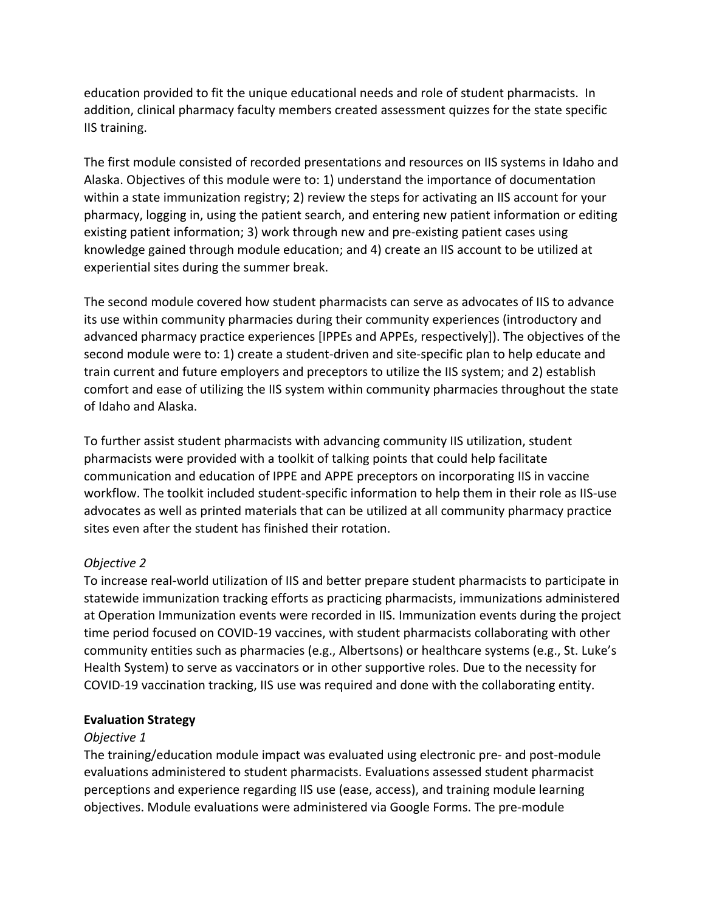education provided to fit the unique educational needs and role of student pharmacists. In addition, clinical pharmacy faculty members created assessment quizzes for the state specific IIS training.

The first module consisted of recorded presentations and resources on IIS systems in Idaho and Alaska. Objectives of this module were to: 1) understand the importance of documentation within a state immunization registry; 2) review the steps for activating an IIS account for your pharmacy, logging in, using the patient search, and entering new patient information or editing existing patient information; 3) work through new and pre-existing patient cases using knowledge gained through module education; and 4) create an IIS account to be utilized at experiential sites during the summer break.

The second module covered how student pharmacists can serve as advocates of IIS to advance its use within community pharmacies during their community experiences (introductory and advanced pharmacy practice experiences [IPPEs and APPEs, respectively]). The objectives of the second module were to: 1) create a student-driven and site-specific plan to help educate and train current and future employers and preceptors to utilize the IIS system; and 2) establish comfort and ease of utilizing the IIS system within community pharmacies throughout the state of Idaho and Alaska.

To further assist student pharmacists with advancing community IIS utilization, student pharmacists were provided with a toolkit of talking points that could help facilitate communication and education of IPPE and APPE preceptors on incorporating IIS in vaccine workflow. The toolkit included student-specific information to help them in their role as IIS-use advocates as well as printed materials that can be utilized at all community pharmacy practice sites even after the student has finished their rotation.

#### *Objective 2*

To increase real-world utilization of IIS and better prepare student pharmacists to participate in statewide immunization tracking efforts as practicing pharmacists, immunizations administered at Operation Immunization events were recorded in IIS. Immunization events during the project time period focused on COVID-19 vaccines, with student pharmacists collaborating with other community entities such as pharmacies (e.g., Albertsons) or healthcare systems (e.g., St. Luke's Health System) to serve as vaccinators or in other supportive roles. Due to the necessity for COVID-19 vaccination tracking, IIS use was required and done with the collaborating entity.

#### **Evaluation Strategy**

#### *Objective 1*

The training/education module impact was evaluated using electronic pre- and post-module evaluations administered to student pharmacists. Evaluations assessed student pharmacist perceptions and experience regarding IIS use (ease, access), and training module learning objectives. Module evaluations were administered via Google Forms. The pre-module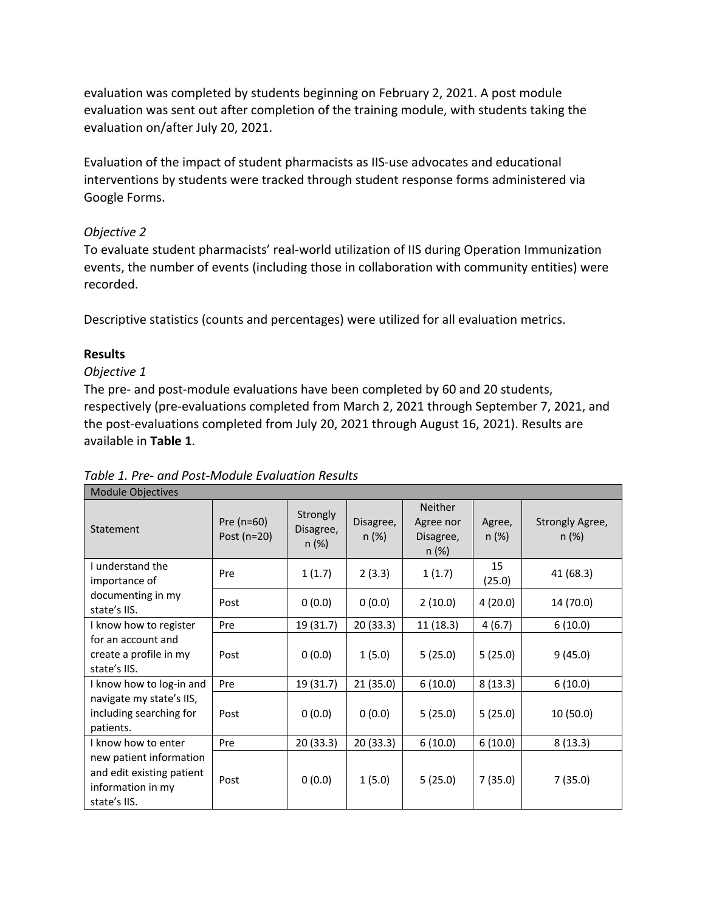evaluation was completed by students beginning on February 2, 2021. A post module evaluation was sent out after completion of the training module, with students taking the evaluation on/after July 20, 2021.

Evaluation of the impact of student pharmacists as IIS-use advocates and educational interventions by students were tracked through student response forms administered via Google Forms.

## *Objective 2*

To evaluate student pharmacists' real-world utilization of IIS during Operation Immunization events, the number of events (including those in collaboration with community entities) were recorded.

Descriptive statistics (counts and percentages) were utilized for all evaluation metrics.

# **Results**

## *Objective 1*

The pre- and post-module evaluations have been completed by 60 and 20 students, respectively (pre-evaluations completed from March 2, 2021 through September 7, 2021, and the post-evaluations completed from July 20, 2021 through August 16, 2021). Results are available in **Table 1**.

| <b>Module Objectives</b>                                                                  |                             |                               |                      |                                                   |                    |                             |  |  |  |
|-------------------------------------------------------------------------------------------|-----------------------------|-------------------------------|----------------------|---------------------------------------------------|--------------------|-----------------------------|--|--|--|
| Statement                                                                                 | Pre $(n=60)$<br>Post (n=20) | Strongly<br>Disagree,<br>n(%) | Disagree,<br>$n$ (%) | <b>Neither</b><br>Agree nor<br>Disagree,<br>n (%) | Agree,<br>$n (\%)$ | Strongly Agree,<br>$n (\%)$ |  |  |  |
| I understand the<br>importance of                                                         | Pre                         | 1(1.7)                        | 2(3.3)               | 1(1.7)                                            | 15<br>(25.0)       | 41 (68.3)                   |  |  |  |
| documenting in my<br>state's IIS.                                                         | Post                        | 0(0.0)                        | 0(0.0)               | 2(10.0)                                           | 4(20.0)            | 14 (70.0)                   |  |  |  |
| I know how to register                                                                    | Pre                         | 19 (31.7)                     | 20(33.3)             | 11(18.3)                                          | 4(6.7)             | 6(10.0)                     |  |  |  |
| for an account and<br>create a profile in my<br>state's IIS.                              | Post                        | 0(0.0)                        | 1(5.0)               | 5(25.0)                                           | 5(25.0)            | 9(45.0)                     |  |  |  |
| I know how to log-in and                                                                  | Pre                         | 19 (31.7)                     | 21 (35.0)            | 6(10.0)                                           | 8(13.3)            | 6(10.0)                     |  |  |  |
| navigate my state's IIS,<br>including searching for<br>patients.                          | Post                        | 0(0.0)                        | 0(0.0)               | 5(25.0)                                           | 5(25.0)            | 10 (50.0)                   |  |  |  |
| I know how to enter                                                                       | Pre                         | 20 (33.3)                     | 20 (33.3)            | 6(10.0)                                           | 6(10.0)            | 8(13.3)                     |  |  |  |
| new patient information<br>and edit existing patient<br>information in my<br>state's IIS. | Post                        | 0(0.0)                        | 1(5.0)               | 5(25.0)                                           | 7(35.0)            | 7(35.0)                     |  |  |  |

*Table 1. Pre- and Post-Module Evaluation Results*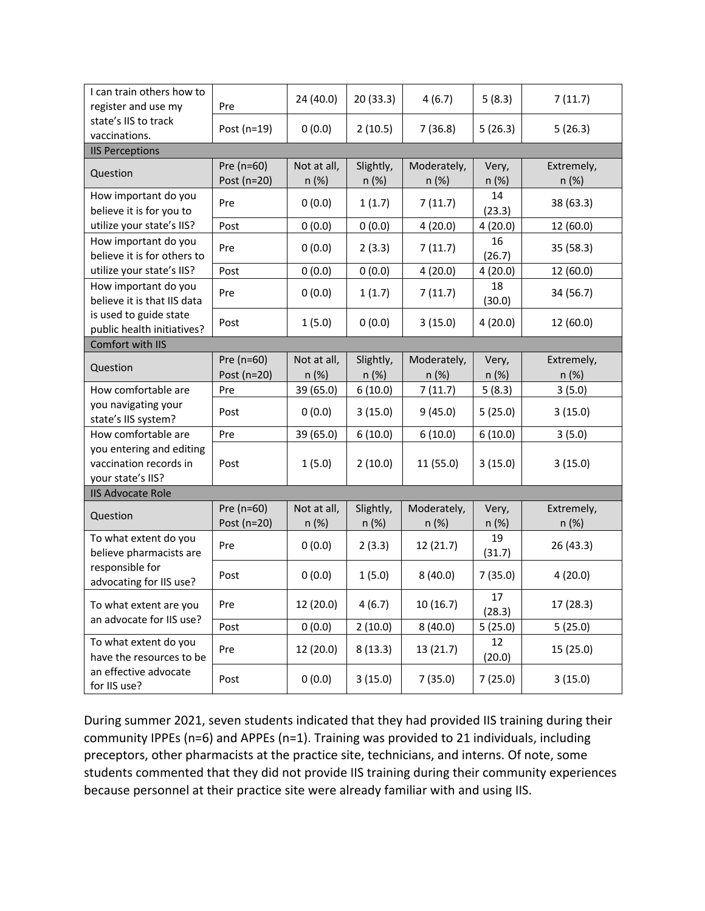| I can train others how to<br>register and use my<br>state's IIS to track<br>vaccinations.                   | Pre                       | 24 (40.0)            | 20 (33.3)          | 4(6.7)               | 5(8.3)         | 7(11.7)             |  |  |  |
|-------------------------------------------------------------------------------------------------------------|---------------------------|----------------------|--------------------|----------------------|----------------|---------------------|--|--|--|
|                                                                                                             | Post (n=19)               | 0(0.0)               | 2(10.5)            | 7(36.8)              | 5(26.3)        | 5(26.3)             |  |  |  |
| <b>IIS Perceptions</b>                                                                                      |                           |                      |                    |                      |                |                     |  |  |  |
| Question                                                                                                    | Pre (n=60)<br>Post (n=20) | Not at all,<br>n (%) | Slightly,<br>n (%) | Moderately,<br>n (%) | Very,<br>n(%)  | Extremely,<br>n (%) |  |  |  |
| How important do you<br>believe it is for you to                                                            | Pre                       | 0(0.0)               | 1(1.7)             | 7(11.7)              | 14<br>(23.3)   | 38 (63.3)           |  |  |  |
| utilize your state's IIS?                                                                                   | Post                      | 0(0.0)               | 0(0.0)             | 4(20.0)              | 4(20.0)        | 12 (60.0)           |  |  |  |
| How important do you<br>believe it is for others to                                                         | Pre                       | 0(0.0)               | 2(3.3)             | 7(11.7)              | 16<br>(26.7)   | 35 (58.3)           |  |  |  |
| utilize your state's IIS?                                                                                   | Post                      | 0(0.0)               | 0(0.0)             | 4(20.0)              | 4(20.0)        | 12 (60.0)           |  |  |  |
| How important do you<br>believe it is that IIS data<br>is used to guide state<br>public health initiatives? | Pre                       | 0(0.0)               | 1(1.7)             | 7(11.7)              | 18<br>(30.0)   | 34 (56.7)           |  |  |  |
|                                                                                                             | Post                      | 1(5.0)               | 0(0.0)             | 3(15.0)              | 4(20.0)        | 12 (60.0)           |  |  |  |
| Comfort with IIS                                                                                            |                           |                      |                    |                      |                |                     |  |  |  |
| Question                                                                                                    | Pre (n=60)<br>Post (n=20) | Not at all,<br>n(%)  | Slightly,<br>n (%) | Moderately,<br>n (%) | Very,<br>n(%)  | Extremely,<br>n(%)  |  |  |  |
| How comfortable are                                                                                         | Pre                       | 39 (65.0)            | 6(10.0)            | 7(11.7)              | 5(8.3)         | 3(5.0)              |  |  |  |
| you navigating your<br>state's IIS system?                                                                  | Post                      | 0(0.0)               | 3(15.0)            | 9(45.0)              | 5(25.0)        | 3(15.0)             |  |  |  |
| How comfortable are                                                                                         | Pre                       | 39 (65.0)            | 6(10.0)            | 6(10.0)              | 6(10.0)        | 3(5.0)              |  |  |  |
| you entering and editing<br>vaccination records in<br>your state's IIS?                                     | Post                      | 1(5.0)               | 2(10.0)            | 11 (55.0)            | 3(15.0)        | 3(15.0)             |  |  |  |
| <b>IIS Advocate Role</b>                                                                                    |                           |                      |                    |                      |                |                     |  |  |  |
| Question                                                                                                    | Pre (n=60)<br>Post (n=20) | Not at all,<br>n(%)  | Slightly,<br>n (%) | Moderately,<br>n (%) | Very,<br>n (%) | Extremely,<br>n(%)  |  |  |  |
| To what extent do you<br>believe pharmacists are<br>responsible for<br>advocating for IIS use?              | Pre                       | 0(0.0)               | 2(3.3)             | 12 (21.7)            | 19<br>(31.7)   | 26 (43.3)           |  |  |  |
|                                                                                                             | Post                      | 0(0.0)               | 1(5.0)             | 8(40.0)              | 7(35.0)        | 4(20.0)             |  |  |  |
| To what extent are you<br>an advocate for IIS use?                                                          | Pre                       | 12 (20.0)            | 4(6.7)             | 10(16.7)             | 17<br>(28.3)   | 17(28.3)            |  |  |  |
|                                                                                                             | Post                      | 0(0.0)               | 2(10.0)            | 8(40.0)              | 5(25.0)        | 5(25.0)             |  |  |  |
| To what extent do you<br>have the resources to be                                                           | Pre                       | 12 (20.0)            | 8(13.3)            | 13 (21.7)            | 12<br>(20.0)   | 15 (25.0)           |  |  |  |
| an effective advocate<br>for IIS use?                                                                       | Post                      | 0(0.0)               | 3(15.0)            | 7(35.0)              | 7(25.0)        | 3(15.0)             |  |  |  |

During summer 2021, seven students indicated that they had provided IIS training during their community IPPEs (n=6) and APPEs (n=1). Training was provided to 21 individuals, including preceptors, other pharmacists at the practice site, technicians, and interns. Of note, some students commented that they did not provide IIS training during their community experiences because personnel at their practice site were already familiar with and using IIS.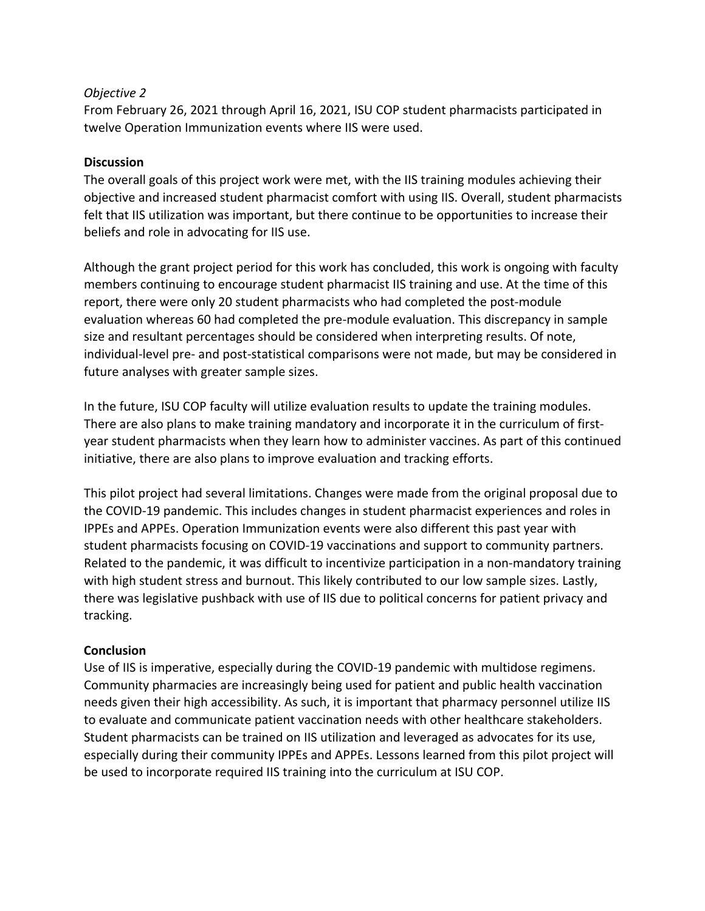## *Objective 2*

From February 26, 2021 through April 16, 2021, ISU COP student pharmacists participated in twelve Operation Immunization events where IIS were used.

# **Discussion**

The overall goals of this project work were met, with the IIS training modules achieving their objective and increased student pharmacist comfort with using IIS. Overall, student pharmacists felt that IIS utilization was important, but there continue to be opportunities to increase their beliefs and role in advocating for IIS use.

Although the grant project period for this work has concluded, this work is ongoing with faculty members continuing to encourage student pharmacist IIS training and use. At the time of this report, there were only 20 student pharmacists who had completed the post-module evaluation whereas 60 had completed the pre-module evaluation. This discrepancy in sample size and resultant percentages should be considered when interpreting results. Of note, individual-level pre- and post-statistical comparisons were not made, but may be considered in future analyses with greater sample sizes.

In the future, ISU COP faculty will utilize evaluation results to update the training modules. There are also plans to make training mandatory and incorporate it in the curriculum of firstyear student pharmacists when they learn how to administer vaccines. As part of this continued initiative, there are also plans to improve evaluation and tracking efforts.

This pilot project had several limitations. Changes were made from the original proposal due to the COVID-19 pandemic. This includes changes in student pharmacist experiences and roles in IPPEs and APPEs. Operation Immunization events were also different this past year with student pharmacists focusing on COVID-19 vaccinations and support to community partners. Related to the pandemic, it was difficult to incentivize participation in a non-mandatory training with high student stress and burnout. This likely contributed to our low sample sizes. Lastly, there was legislative pushback with use of IIS due to political concerns for patient privacy and tracking.

#### **Conclusion**

Use of IIS is imperative, especially during the COVID-19 pandemic with multidose regimens. Community pharmacies are increasingly being used for patient and public health vaccination needs given their high accessibility. As such, it is important that pharmacy personnel utilize IIS to evaluate and communicate patient vaccination needs with other healthcare stakeholders. Student pharmacists can be trained on IIS utilization and leveraged as advocates for its use, especially during their community IPPEs and APPEs. Lessons learned from this pilot project will be used to incorporate required IIS training into the curriculum at ISU COP.